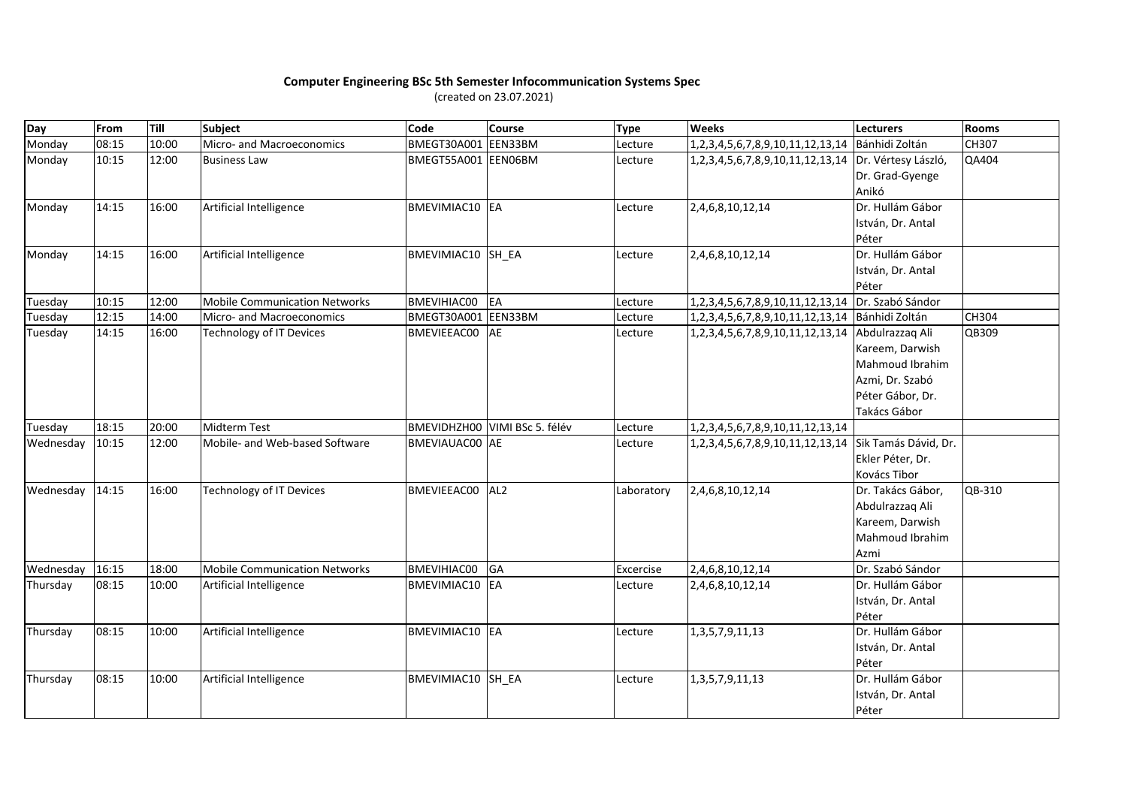## **Computer Engineering BSc 5th Semester Infocommunication Systems Spec**

(created on 23.07.2021)

| Day       | From  | Till  | <b>Subject</b>                       | Code                | <b>Course</b>                 | <b>Type</b> | <b>Weeks</b>                                         | <b>Lecturers</b>     | <b>Rooms</b> |
|-----------|-------|-------|--------------------------------------|---------------------|-------------------------------|-------------|------------------------------------------------------|----------------------|--------------|
| Monday    | 08:15 | 10:00 | Micro- and Macroeconomics            | BMEGT30A001 EEN33BM |                               | Lecture     | 1,2,3,4,5,6,7,8,9,10,11,12,13,14                     | Bánhidi Zoltán       | CH307        |
| Monday    | 10:15 | 12:00 | <b>Business Law</b>                  | BMEGT55A001 EEN06BM |                               | Lecture     | 1,2,3,4,5,6,7,8,9,10,11,12,13,14 Dr. Vértesy László, |                      | QA404        |
|           |       |       |                                      |                     |                               |             |                                                      | Dr. Grad-Gyenge      |              |
|           |       |       |                                      |                     |                               |             |                                                      | Anikó                |              |
| Monday    | 14:15 | 16:00 | Artificial Intelligence              | BMEVIMIAC10 EA      |                               | Lecture     | 2,4,6,8,10,12,14                                     | Dr. Hullám Gábor     |              |
|           |       |       |                                      |                     |                               |             |                                                      | István, Dr. Antal    |              |
|           |       |       |                                      |                     |                               |             |                                                      | Péter                |              |
| Monday    | 14:15 | 16:00 | Artificial Intelligence              | BMEVIMIAC10 SH EA   |                               | Lecture     | 2,4,6,8,10,12,14                                     | Dr. Hullám Gábor     |              |
|           |       |       |                                      |                     |                               |             |                                                      | István, Dr. Antal    |              |
|           |       |       |                                      |                     |                               |             |                                                      | Péter                |              |
| Tuesday   | 10:15 | 12:00 | <b>Mobile Communication Networks</b> | BMEVIHIAC00         | EA                            | Lecture     | 1,2,3,4,5,6,7,8,9,10,11,12,13,14                     | Dr. Szabó Sándor     |              |
| Tuesday   | 12:15 | 14:00 | Micro- and Macroeconomics            | BMEGT30A001 EEN33BM |                               | Lecture     | 1, 2, 3, 4, 5, 6, 7, 8, 9, 10, 11, 12, 13, 14        | Bánhidi Zoltán       | <b>CH304</b> |
| Tuesday   | 14:15 | 16:00 | Technology of IT Devices             | BMEVIEEAC00         | AE                            | Lecture     | 1,2,3,4,5,6,7,8,9,10,11,12,13,14 Abdulrazzaq Ali     |                      | QB309        |
|           |       |       |                                      |                     |                               |             |                                                      | Kareem, Darwish      |              |
|           |       |       |                                      |                     |                               |             |                                                      | Mahmoud Ibrahim      |              |
|           |       |       |                                      |                     |                               |             |                                                      | Azmi, Dr. Szabó      |              |
|           |       |       |                                      |                     |                               |             |                                                      | Péter Gábor, Dr.     |              |
|           |       |       |                                      |                     |                               |             |                                                      | Takács Gábor         |              |
| Tuesday   | 18:15 | 20:00 | <b>Midterm Test</b>                  |                     | BMEVIDHZH00 VIMI BSc 5. félév | Lecture     | 1, 2, 3, 4, 5, 6, 7, 8, 9, 10, 11, 12, 13, 14        |                      |              |
| Wednesday | 10:15 | 12:00 | Mobile- and Web-based Software       | BMEVIAUAC00 AE      |                               | Lecture     | 1,2,3,4,5,6,7,8,9,10,11,12,13,14                     | Sik Tamás Dávid, Dr. |              |
|           |       |       |                                      |                     |                               |             |                                                      | Ekler Péter, Dr.     |              |
|           |       |       |                                      |                     |                               |             |                                                      | Kovács Tibor         |              |
| Wednesday | 14:15 | 16:00 | <b>Technology of IT Devices</b>      | BMEVIEEAC00         | AL <sub>2</sub>               | Laboratory  | 2,4,6,8,10,12,14                                     | Dr. Takács Gábor,    | QB-310       |
|           |       |       |                                      |                     |                               |             |                                                      | Abdulrazzaq Ali      |              |
|           |       |       |                                      |                     |                               |             |                                                      | Kareem, Darwish      |              |
|           |       |       |                                      |                     |                               |             |                                                      | Mahmoud Ibrahim      |              |
|           |       |       |                                      |                     |                               |             |                                                      | Azmi                 |              |
| Wednesday | 16:15 | 18:00 | <b>Mobile Communication Networks</b> | BMEVIHIAC00 GA      |                               | Excercise   | 2,4,6,8,10,12,14                                     | Dr. Szabó Sándor     |              |
| Thursday  | 08:15 | 10:00 | Artificial Intelligence              | BMEVIMIAC10 IEA     |                               | Lecture     | 2,4,6,8,10,12,14                                     | Dr. Hullám Gábor     |              |
|           |       |       |                                      |                     |                               |             |                                                      | István, Dr. Antal    |              |
|           |       |       |                                      |                     |                               |             |                                                      | Péter                |              |
| Thursday  | 08:15 | 10:00 | Artificial Intelligence              | BMEVIMIAC10 EA      |                               | Lecture     | 1, 3, 5, 7, 9, 11, 13                                | Dr. Hullám Gábor     |              |
|           |       |       |                                      |                     |                               |             |                                                      | István, Dr. Antal    |              |
|           |       |       |                                      |                     |                               |             |                                                      | Péter                |              |
| Thursday  | 08:15 | 10:00 | Artificial Intelligence              | BMEVIMIAC10 SH EA   |                               | Lecture     | 1, 3, 5, 7, 9, 11, 13                                | Dr. Hullám Gábor     |              |
|           |       |       |                                      |                     |                               |             |                                                      | István, Dr. Antal    |              |
|           |       |       |                                      |                     |                               |             |                                                      | Péter                |              |